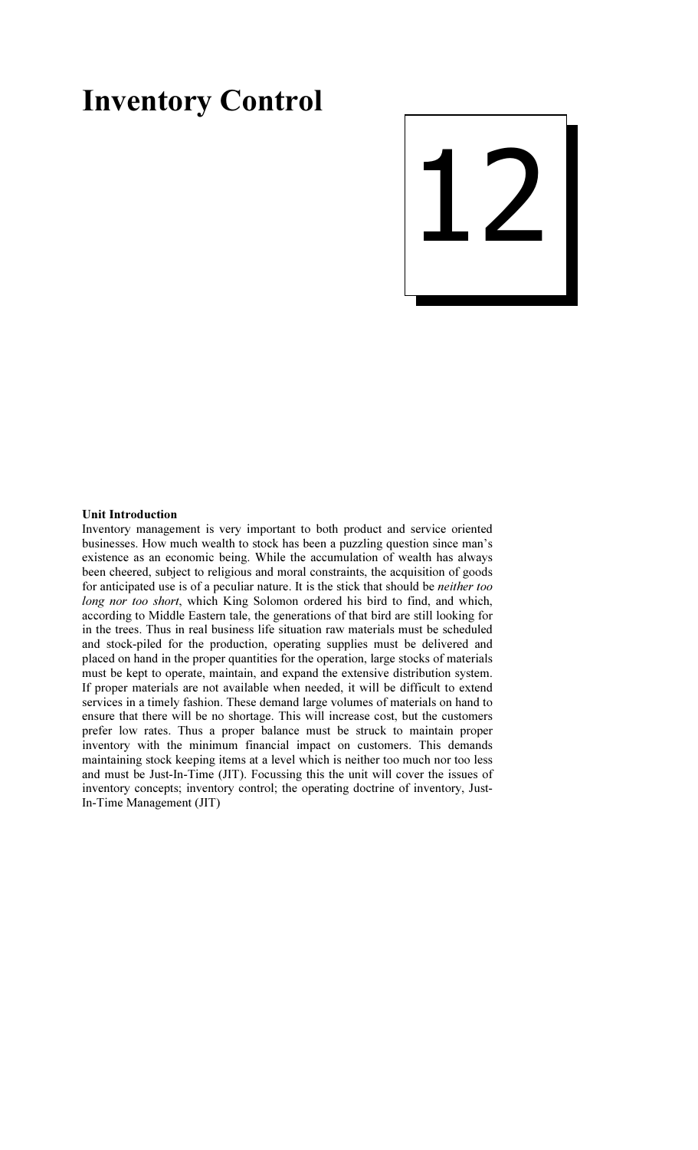# Inventory Control



### Unit Introduction

Inventory management is very important to both product and service oriented businesses. How much wealth to stock has been a puzzling question since man's existence as an economic being. While the accumulation of wealth has always been cheered, subject to religious and moral constraints, the acquisition of goods for anticipated use is of a peculiar nature. It is the stick that should be neither too long nor too short, which King Solomon ordered his bird to find, and which, according to Middle Eastern tale, the generations of that bird are still looking for in the trees. Thus in real business life situation raw materials must be scheduled and stock-piled for the production, operating supplies must be delivered and placed on hand in the proper quantities for the operation, large stocks of materials must be kept to operate, maintain, and expand the extensive distribution system. If proper materials are not available when needed, it will be difficult to extend services in a timely fashion. These demand large volumes of materials on hand to ensure that there will be no shortage. This will increase cost, but the customers prefer low rates. Thus a proper balance must be struck to maintain proper inventory with the minimum financial impact on customers. This demands maintaining stock keeping items at a level which is neither too much nor too less and must be Just-In-Time (JIT). Focussing this the unit will cover the issues of inventory concepts; inventory control; the operating doctrine of inventory, Just-In-Time Management (JIT)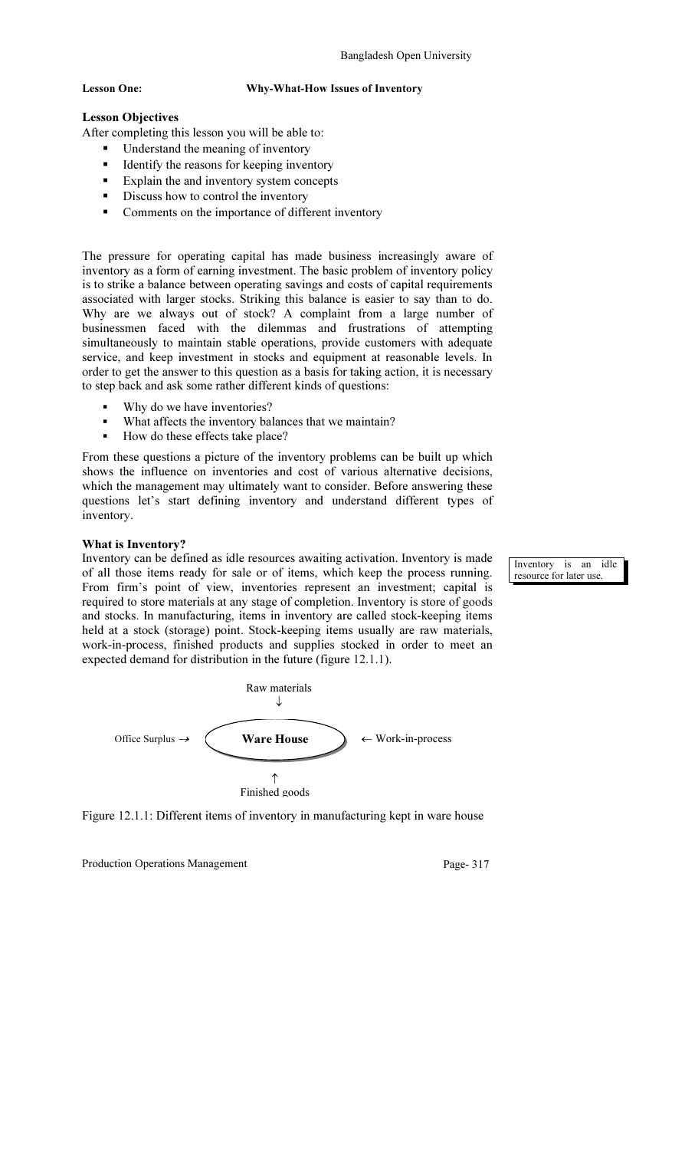### Lesson One: Why-What-How Issues of Inventory

## Lesson Objectives

After completing this lesson you will be able to:

- Understand the meaning of inventory
- Identify the reasons for keeping inventory
- **Explain the and inventory system concepts**
- Discuss how to control the inventory
- Comments on the importance of different inventory

The pressure for operating capital has made business increasingly aware of inventory as a form of earning investment. The basic problem of inventory policy is to strike a balance between operating savings and costs of capital requirements associated with larger stocks. Striking this balance is easier to say than to do. Why are we always out of stock? A complaint from a large number of businessmen faced with the dilemmas and frustrations of attempting simultaneously to maintain stable operations, provide customers with adequate service, and keep investment in stocks and equipment at reasonable levels. In order to get the answer to this question as a basis for taking action, it is necessary to step back and ask some rather different kinds of questions:

- Why do we have inventories?
- What affects the inventory balances that we maintain?
- How do these effects take place?

From these questions a picture of the inventory problems can be built up which shows the influence on inventories and cost of various alternative decisions, which the management may ultimately want to consider. Before answering these questions let's start defining inventory and understand different types of inventory.

### What is Inventory?

Inventory can be defined as idle resources awaiting activation. Inventory is made of all those items ready for sale or of items, which keep the process running. From firm's point of view, inventories represent an investment; capital is required to store materials at any stage of completion. Inventory is store of goods and stocks. In manufacturing, items in inventory are called stock-keeping items held at a stock (storage) point. Stock-keeping items usually are raw materials, work-in-process, finished products and supplies stocked in order to meet an expected demand for distribution in the future (figure 12.1.1).



Figure 12.1.1: Different items of inventory in manufacturing kept in ware house

Production Operations Management Page- 317

Inventory is an idle resource for later use.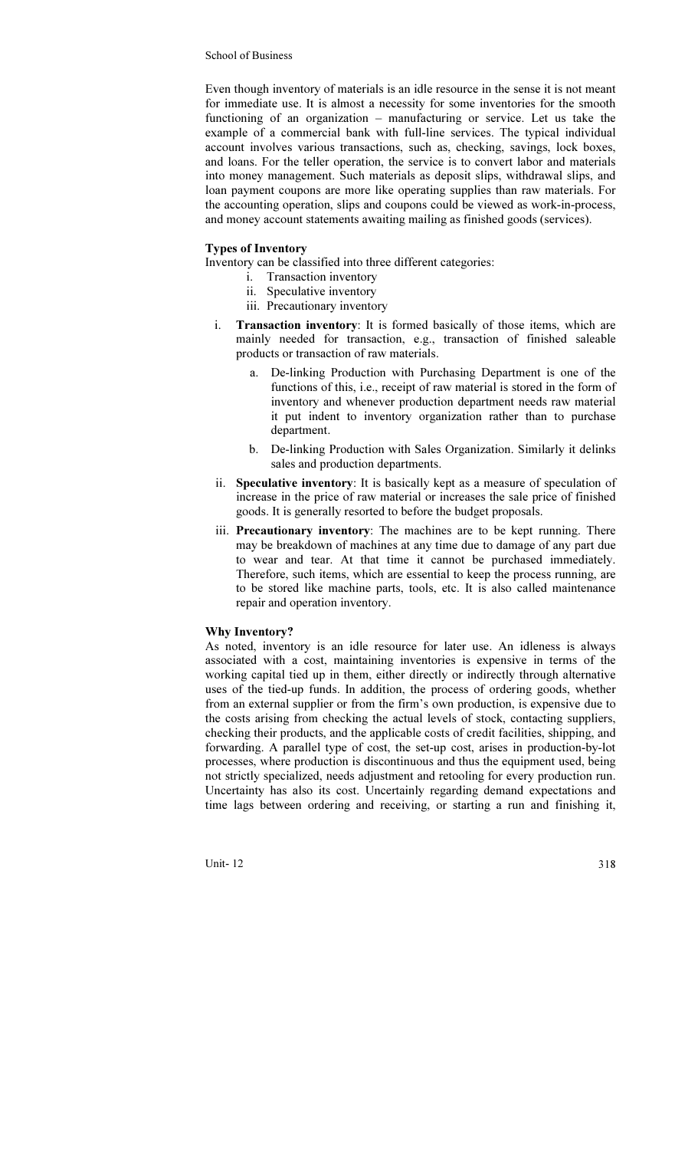Even though inventory of materials is an idle resource in the sense it is not meant for immediate use. It is almost a necessity for some inventories for the smooth functioning of an organization – manufacturing or service. Let us take the example of a commercial bank with full-line services. The typical individual account involves various transactions, such as, checking, savings, lock boxes, and loans. For the teller operation, the service is to convert labor and materials into money management. Such materials as deposit slips, withdrawal slips, and loan payment coupons are more like operating supplies than raw materials. For the accounting operation, slips and coupons could be viewed as work-in-process, and money account statements awaiting mailing as finished goods (services).

### Types of Inventory

Inventory can be classified into three different categories:

- i. Transaction inventory
	- ii. Speculative inventory
	- iii. Precautionary inventory
- i. Transaction inventory: It is formed basically of those items, which are mainly needed for transaction, e.g., transaction of finished saleable products or transaction of raw materials.
	- a. De-linking Production with Purchasing Department is one of the functions of this, i.e., receipt of raw material is stored in the form of inventory and whenever production department needs raw material it put indent to inventory organization rather than to purchase department.
	- b. De-linking Production with Sales Organization. Similarly it delinks sales and production departments.
- ii. Speculative inventory: It is basically kept as a measure of speculation of increase in the price of raw material or increases the sale price of finished goods. It is generally resorted to before the budget proposals.
- iii. Precautionary inventory: The machines are to be kept running. There may be breakdown of machines at any time due to damage of any part due to wear and tear. At that time it cannot be purchased immediately. Therefore, such items, which are essential to keep the process running, are to be stored like machine parts, tools, etc. It is also called maintenance repair and operation inventory.

### Why Inventory?

As noted, inventory is an idle resource for later use. An idleness is always associated with a cost, maintaining inventories is expensive in terms of the working capital tied up in them, either directly or indirectly through alternative uses of the tied-up funds. In addition, the process of ordering goods, whether from an external supplier or from the firm's own production, is expensive due to the costs arising from checking the actual levels of stock, contacting suppliers, checking their products, and the applicable costs of credit facilities, shipping, and forwarding. A parallel type of cost, the set-up cost, arises in production-by-lot processes, where production is discontinuous and thus the equipment used, being not strictly specialized, needs adjustment and retooling for every production run. Uncertainty has also its cost. Uncertainly regarding demand expectations and time lags between ordering and receiving, or starting a run and finishing it,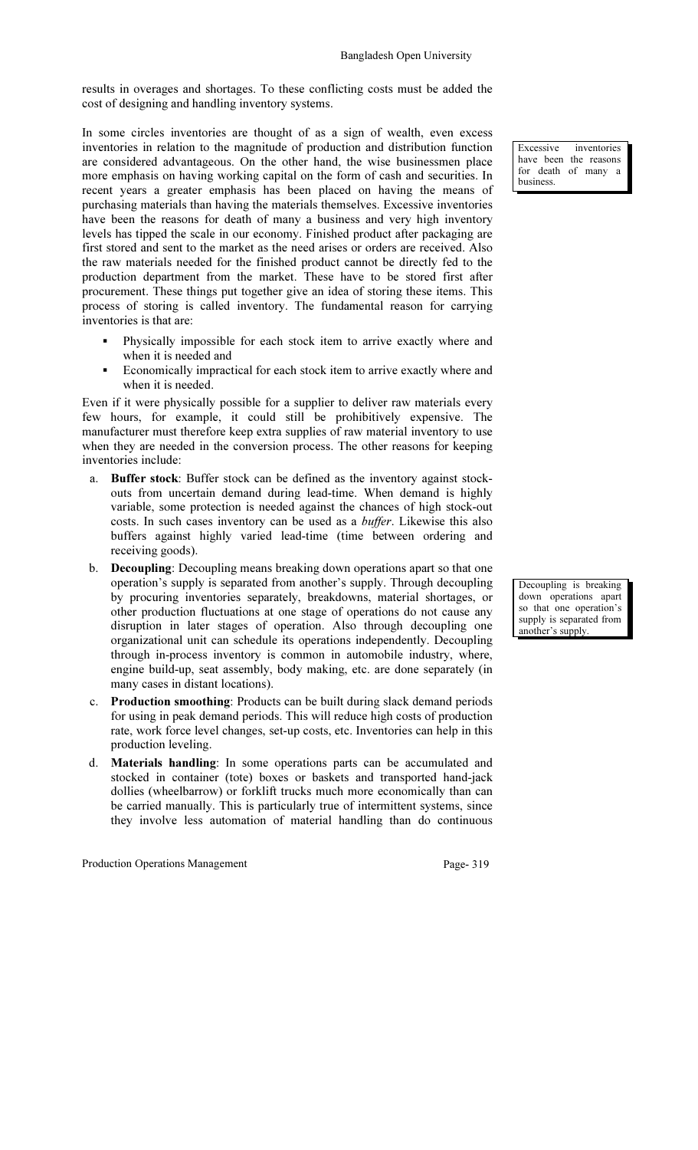results in overages and shortages. To these conflicting costs must be added the cost of designing and handling inventory systems.

In some circles inventories are thought of as a sign of wealth, even excess inventories in relation to the magnitude of production and distribution function are considered advantageous. On the other hand, the wise businessmen place more emphasis on having working capital on the form of cash and securities. In recent years a greater emphasis has been placed on having the means of purchasing materials than having the materials themselves. Excessive inventories have been the reasons for death of many a business and very high inventory levels has tipped the scale in our economy. Finished product after packaging are first stored and sent to the market as the need arises or orders are received. Also the raw materials needed for the finished product cannot be directly fed to the production department from the market. These have to be stored first after procurement. These things put together give an idea of storing these items. This process of storing is called inventory. The fundamental reason for carrying inventories is that are:

- Physically impossible for each stock item to arrive exactly where and when it is needed and
- Economically impractical for each stock item to arrive exactly where and when it is needed.

Even if it were physically possible for a supplier to deliver raw materials every few hours, for example, it could still be prohibitively expensive. The manufacturer must therefore keep extra supplies of raw material inventory to use when they are needed in the conversion process. The other reasons for keeping inventories include:

- a. Buffer stock: Buffer stock can be defined as the inventory against stockouts from uncertain demand during lead-time. When demand is highly variable, some protection is needed against the chances of high stock-out costs. In such cases inventory can be used as a buffer. Likewise this also buffers against highly varied lead-time (time between ordering and receiving goods).
- b. Decoupling: Decoupling means breaking down operations apart so that one operation's supply is separated from another's supply. Through decoupling by procuring inventories separately, breakdowns, material shortages, or other production fluctuations at one stage of operations do not cause any disruption in later stages of operation. Also through decoupling one organizational unit can schedule its operations independently. Decoupling through in-process inventory is common in automobile industry, where, engine build-up, seat assembly, body making, etc. are done separately (in many cases in distant locations).
- c. Production smoothing: Products can be built during slack demand periods for using in peak demand periods. This will reduce high costs of production rate, work force level changes, set-up costs, etc. Inventories can help in this production leveling.
- d. Materials handling: In some operations parts can be accumulated and stocked in container (tote) boxes or baskets and transported hand-jack dollies (wheelbarrow) or forklift trucks much more economically than can be carried manually. This is particularly true of intermittent systems, since they involve less automation of material handling than do continuous

Production Operations Management Page- 319

Excessive inventories have been the reasons for death of many a business.

Decoupling is breaking down operations apart so that one operation's supply is separated from another's supply.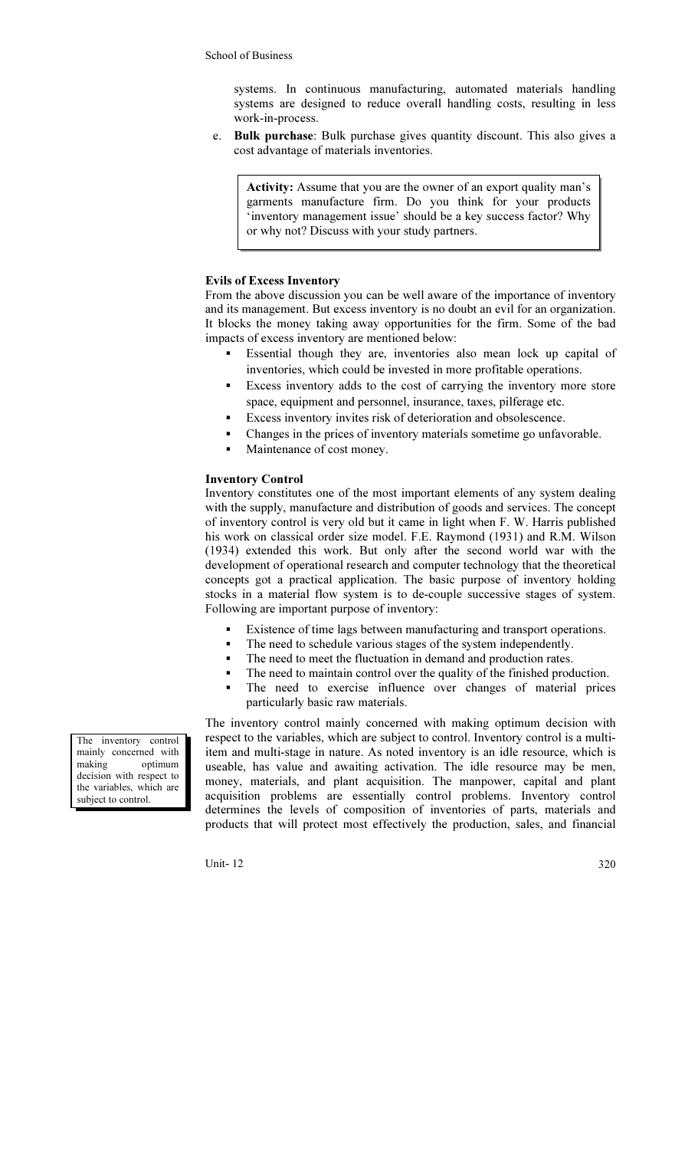systems. In continuous manufacturing, automated materials handling systems are designed to reduce overall handling costs, resulting in less work-in-process.

e. Bulk purchase: Bulk purchase gives quantity discount. This also gives a cost advantage of materials inventories.

Activity: Assume that you are the owner of an export quality man's garments manufacture firm. Do you think for your products 'inventory management issue' should be a key success factor? Why or why not? Discuss with your study partners.

### Evils of Excess Inventory

From the above discussion you can be well aware of the importance of inventory and its management. But excess inventory is no doubt an evil for an organization. It blocks the money taking away opportunities for the firm. Some of the bad impacts of excess inventory are mentioned below:

- Essential though they are, inventories also mean lock up capital of inventories, which could be invested in more profitable operations.
- Excess inventory adds to the cost of carrying the inventory more store space, equipment and personnel, insurance, taxes, pilferage etc.
- Excess inventory invites risk of deterioration and obsolescence.
- Changes in the prices of inventory materials sometime go unfavorable.
- Maintenance of cost money.

### Inventory Control

Inventory constitutes one of the most important elements of any system dealing with the supply, manufacture and distribution of goods and services. The concept of inventory control is very old but it came in light when F. W. Harris published his work on classical order size model. F.E. Raymond (1931) and R.M. Wilson (1934) extended this work. But only after the second world war with the development of operational research and computer technology that the theoretical concepts got a practical application. The basic purpose of inventory holding stocks in a material flow system is to de-couple successive stages of system. Following are important purpose of inventory:

- Existence of time lags between manufacturing and transport operations.
- The need to schedule various stages of the system independently.
- The need to meet the fluctuation in demand and production rates.
- The need to maintain control over the quality of the finished production.
- The need to exercise influence over changes of material prices particularly basic raw materials.

The inventory control mainly concerned with making optimum decision with respect to the variables, which are subject to control. Inventory control is a multiitem and multi-stage in nature. As noted inventory is an idle resource, which is useable, has value and awaiting activation. The idle resource may be men, money, materials, and plant acquisition. The manpower, capital and plant acquisition problems are essentially control problems. Inventory control determines the levels of composition of inventories of parts, materials and products that will protect most effectively the production, sales, and financial

The inventory control mainly concerned with<br>making optimum optimum decision with respect to the variables, which are subject to control.

Unit-  $12\,$  320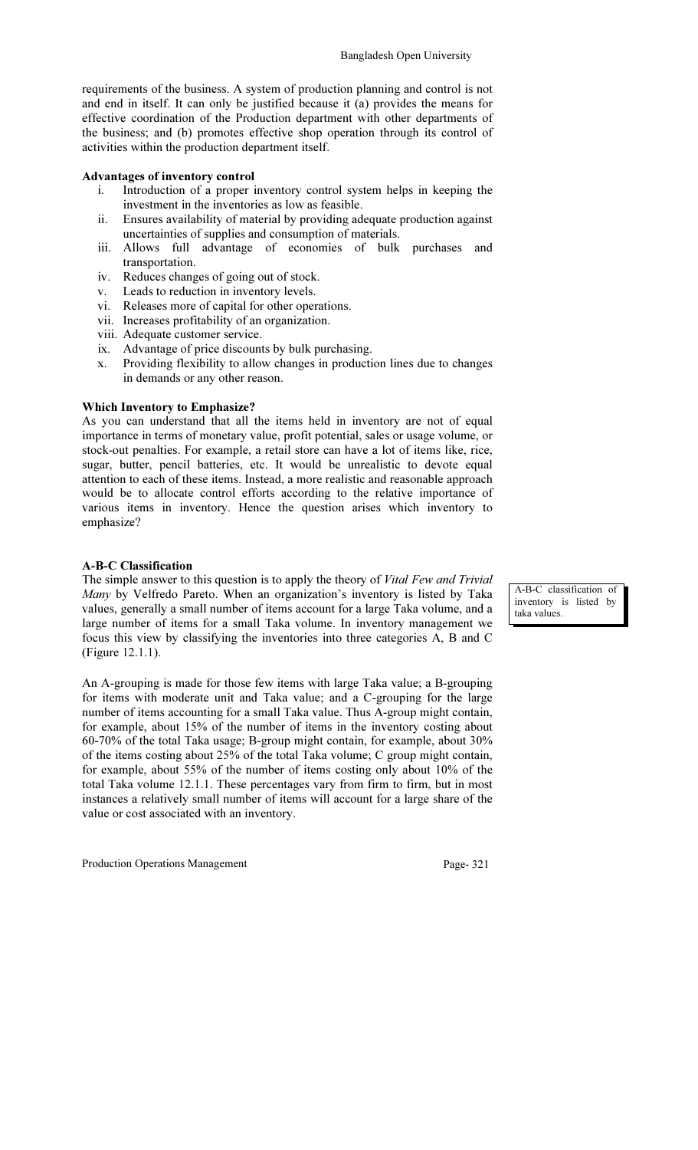requirements of the business. A system of production planning and control is not and end in itself. It can only be justified because it (a) provides the means for effective coordination of the Production department with other departments of the business; and (b) promotes effective shop operation through its control of activities within the production department itself.

### Advantages of inventory control

- i. Introduction of a proper inventory control system helps in keeping the investment in the inventories as low as feasible.
- ii. Ensures availability of material by providing adequate production against uncertainties of supplies and consumption of materials.
- iii. Allows full advantage of economies of bulk purchases and transportation.
- iv. Reduces changes of going out of stock.
- v. Leads to reduction in inventory levels.
- vi. Exam to reduce it in the strategy of the view with Releases more of capital for other operations.
- vii. Increases profitability of an organization.
- viii. Adequate customer service.
- ix. Advantage of price discounts by bulk purchasing.
- x. Providing flexibility to allow changes in production lines due to changes in demands or any other reason.

### Which Inventory to Emphasize?

As you can understand that all the items held in inventory are not of equal importance in terms of monetary value, profit potential, sales or usage volume, or stock-out penalties. For example, a retail store can have a lot of items like, rice, sugar, butter, pencil batteries, etc. It would be unrealistic to devote equal attention to each of these items. Instead, a more realistic and reasonable approach would be to allocate control efforts according to the relative importance of various items in inventory. Hence the question arises which inventory to emphasize?

### A-B-C Classification

The simple answer to this question is to apply the theory of Vital Few and Trivial Many by Velfredo Pareto. When an organization's inventory is listed by Taka values, generally a small number of items account for a large Taka volume, and a large number of items for a small Taka volume. In inventory management we focus this view by classifying the inventories into three categories A, B and C (Figure 12.1.1).

An A-grouping is made for those few items with large Taka value; a B-grouping for items with moderate unit and Taka value; and a C-grouping for the large number of items accounting for a small Taka value. Thus A-group might contain, for example, about 15% of the number of items in the inventory costing about 60-70% of the total Taka usage; B-group might contain, for example, about 30% of the items costing about 25% of the total Taka volume; C group might contain, for example, about 55% of the number of items costing only about 10% of the total Taka volume 12.1.1. These percentages vary from firm to firm, but in most instances a relatively small number of items will account for a large share of the value or cost associated with an inventory.

Production Operations Management Page- 321

A-B-C classification of inventory is listed by taka values.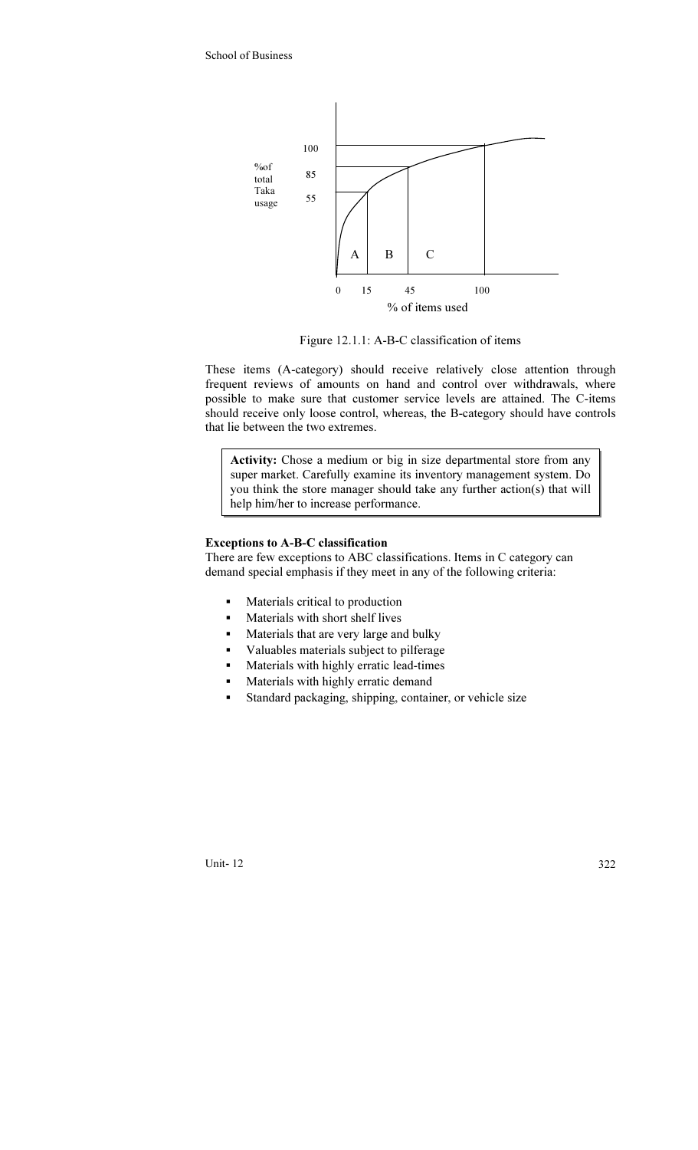

Figure 12.1.1: A-B-C classification of items

These items (A-category) should receive relatively close attention through frequent reviews of amounts on hand and control over withdrawals, where possible to make sure that customer service levels are attained. The C-items should receive only loose control, whereas, the B-category should have controls that lie between the two extremes.

Activity: Chose a medium or big in size departmental store from any super market. Carefully examine its inventory management system. Do you think the store manager should take any further action(s) that will help him/her to increase performance.

### Exceptions to A-B-C classification

There are few exceptions to ABC classifications. Items in C category can demand special emphasis if they meet in any of the following criteria:

- **Materials critical to production**
- Materials with short shelf lives
- Materials that are very large and bulky
- Valuables materials subject to pilferage
- Materials with highly erratic lead-times
- Materials with highly erratic demand
- Standard packaging, shipping, container, or vehicle size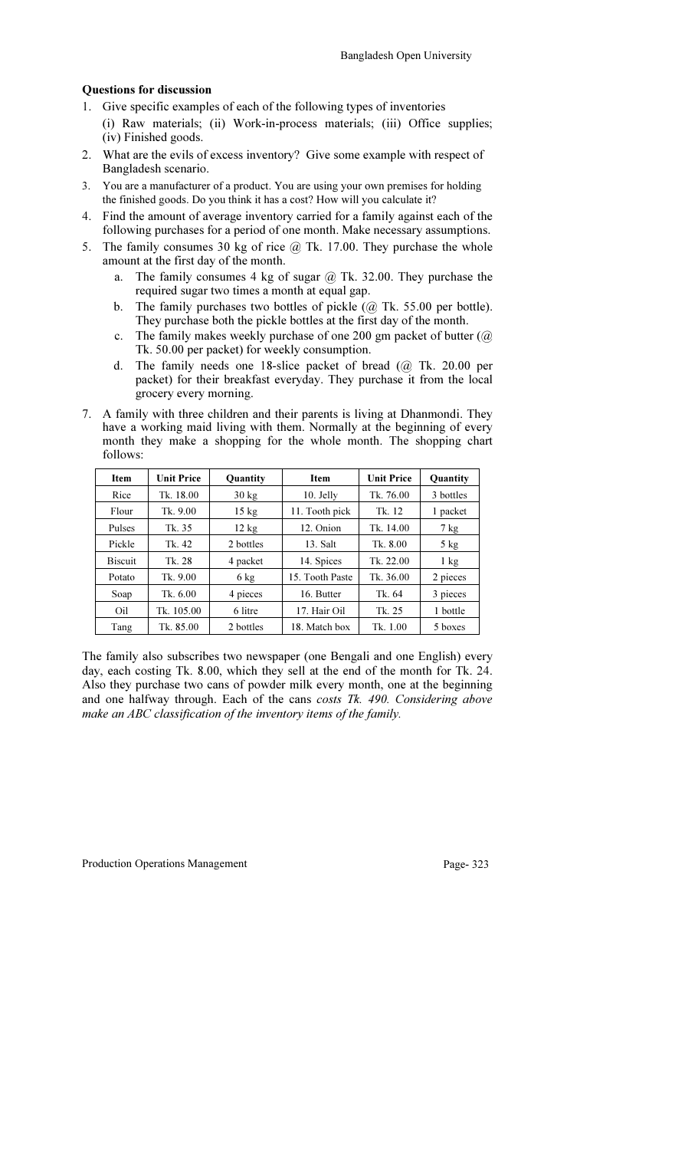### Questions for discussion

- 1. Give specific examples of each of the following types of inventories (i) Raw materials; (ii) Work-in-process materials; (iii) Office supplies; (iv) Finished goods.
- 2. What are the evils of excess inventory? Give some example with respect of Bangladesh scenario.
- 3. You are a manufacturer of a product. You are using your own premises for holding the finished goods. Do you think it has a cost? How will you calculate it?
- 4. Find the amount of average inventory carried for a family against each of the following purchases for a period of one month. Make necessary assumptions.
- 5. The family consumes 30 kg of rice  $@$  Tk. 17.00. They purchase the whole amount at the first day of the month.
	- a. The family consumes 4 kg of sugar  $\omega$  Tk. 32.00. They purchase the required sugar two times a month at equal gap.
	- b. The family purchases two bottles of pickle  $(a)$  Tk. 55.00 per bottle). They purchase both the pickle bottles at the first day of the month.
	- c. The family makes weekly purchase of one 200 gm packet of butter (@ Tk. 50.00 per packet) for weekly consumption.
	- d. The family needs one 18-slice packet of bread (@ Tk. 20.00 per packet) for their breakfast everyday. They purchase it from the local grocery every morning.
- 7. A family with three children and their parents is living at Dhanmondi. They have a working maid living with them. Normally at the beginning of every month they make a shopping for the whole month. The shopping chart follows:

| <b>Item</b>    | <b>Unit Price</b> | Quantity        | <b>Item</b>     | <b>Unit Price</b> | Quantity       |
|----------------|-------------------|-----------------|-----------------|-------------------|----------------|
| Rice           | Tk. 18.00         | $30 \text{ kg}$ | $10.$ Jelly     | Tk. 76.00         | 3 bottles      |
| Flour          | Tk. 9.00          | $15 \text{ kg}$ | 11. Tooth pick  | Tk. 12            | 1 packet       |
| Pulses         | Tk. 35            | $12 \text{ kg}$ | 12. Onion       | Tk. 14.00         | $7 \text{ kg}$ |
| Pickle         | Tk. 42            | 2 bottles       | 13. Salt        | Tk. 8.00          | $5$ kg         |
| <b>Biscuit</b> | Tk. 28            | 4 packet        | 14. Spices      | Tk. $22.00$       | $1 \text{ kg}$ |
| Potato         | Tk. 9.00          | $6 \text{ kg}$  | 15. Tooth Paste | Tk. $36.00$       | 2 pieces       |
| Soap           | Tk. 6.00          | 4 pieces        | 16. Butter      | Tk. 64            | 3 pieces       |
| Oil            | Tk. 105.00        | 6 litre         | 17. Hair Oil    | Tk. 25            | 1 bottle       |
| Tang           | Tk. 85.00         | 2 bottles       | 18. Match box   | Tk. 1.00          | 5 boxes        |

The family also subscribes two newspaper (one Bengali and one English) every day, each costing Tk. 8.00, which they sell at the end of the month for Tk. 24. Also they purchase two cans of powder milk every month, one at the beginning and one halfway through. Each of the cans costs Tk. 490. Considering above make an ABC classification of the inventory items of the family.

Production Operations Management Page- 323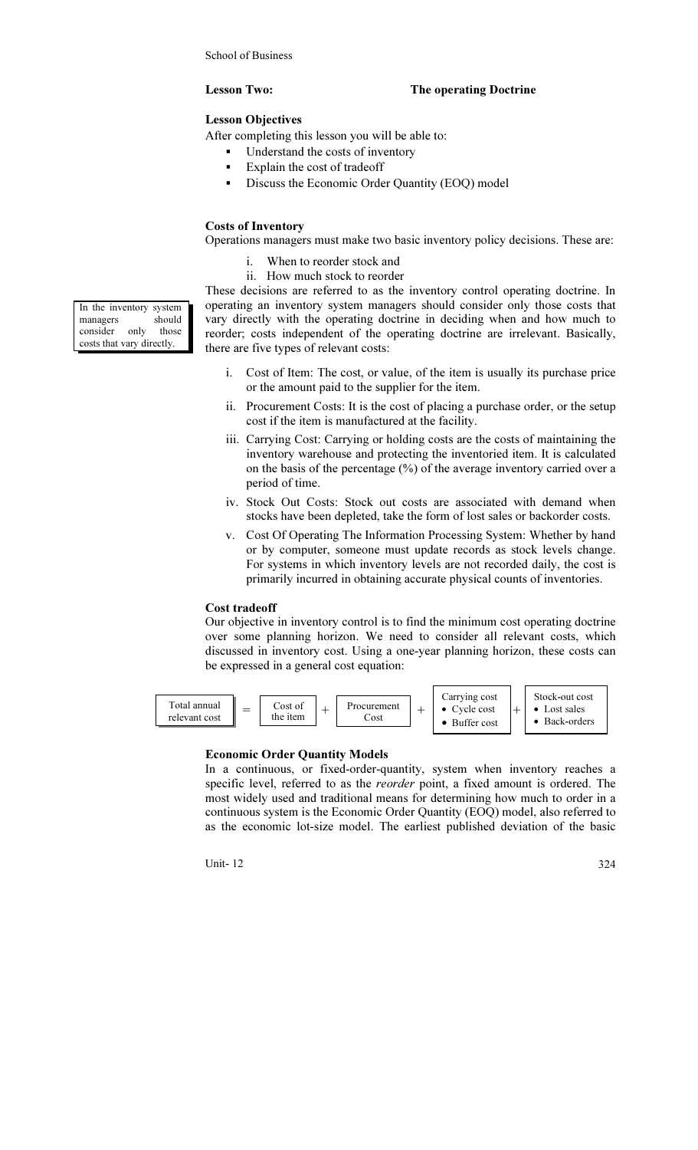### Lesson Two: The operating Doctrine

### Lesson Objectives

After completing this lesson you will be able to:

- Understand the costs of inventory
- **Explain the cost of tradeoff**
- **•** Discuss the Economic Order Quantity (EOQ) model

## Costs of Inventory

Operations managers must make two basic inventory policy decisions. These are:

- i. When to reorder stock and
- ii. How much stock to reorder

These decisions are referred to as the inventory control operating doctrine. In operating an inventory system managers should consider only those costs that vary directly with the operating doctrine in deciding when and how much to reorder; costs independent of the operating doctrine are irrelevant. Basically, there are five types of relevant costs:

- i. Cost of Item: The cost, or value, of the item is usually its purchase price or the amount paid to the supplier for the item.
- ii. Procurement Costs: It is the cost of placing a purchase order, or the setup cost if the item is manufactured at the facility.
- iii. Carrying Cost: Carrying or holding costs are the costs of maintaining the inventory warehouse and protecting the inventoried item. It is calculated on the basis of the percentage (%) of the average inventory carried over a period of time.
- iv. Stock Out Costs: Stock out costs are associated with demand when stocks have been depleted, take the form of lost sales or backorder costs.
- v. Cost Of Operating The Information Processing System: Whether by hand or by computer, someone must update records as stock levels change. For systems in which inventory levels are not recorded daily, the cost is primarily incurred in obtaining accurate physical counts of inventories.

### Cost tradeoff

Our objective in inventory control is to find the minimum cost operating doctrine over some planning horizon. We need to consider all relevant costs, which discussed in inventory cost. Using a one-year planning horizon, these costs can be expressed in a general cost equation:



### Economic Order Quantity Models

In a continuous, or fixed-order-quantity, system when inventory reaches a specific level, referred to as the reorder point, a fixed amount is ordered. The most widely used and traditional means for determining how much to order in a continuous system is the Economic Order Quantity (EOQ) model, also referred to as the economic lot-size model. The earliest published deviation of the basic

Unit- 12 324

In the inventory system managers should consider only those costs that vary directly.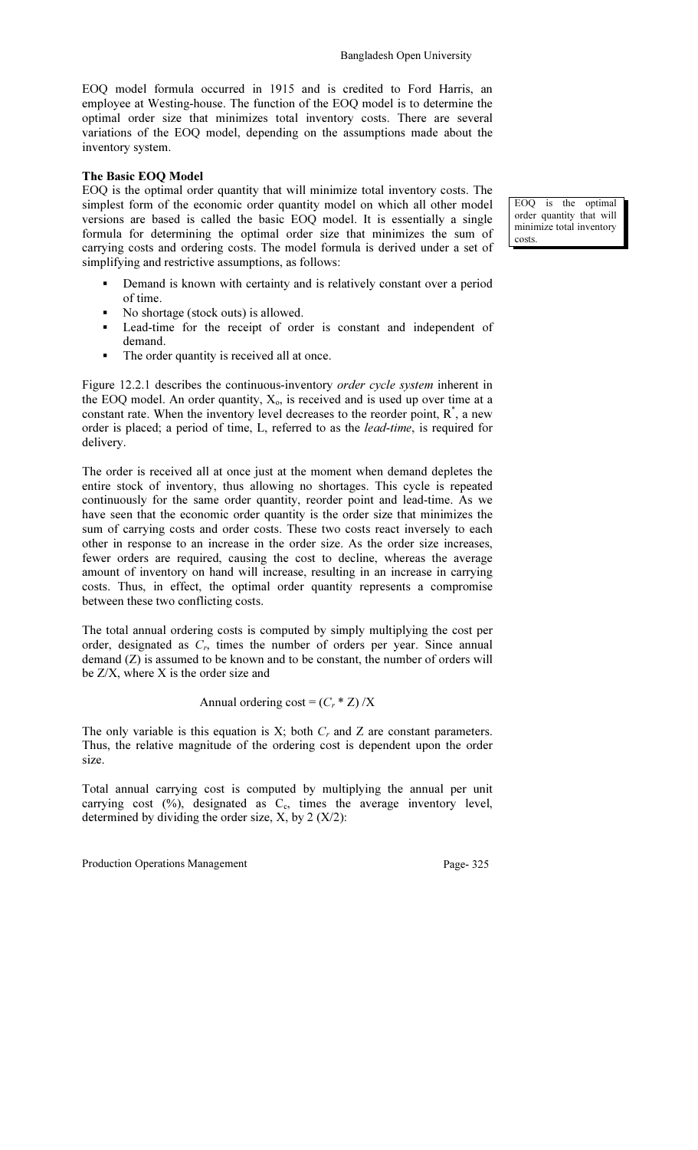EOQ model formula occurred in 1915 and is credited to Ford Harris, an employee at Westing-house. The function of the EOQ model is to determine the optimal order size that minimizes total inventory costs. There are several variations of the EOQ model, depending on the assumptions made about the inventory system.

### The Basic EOQ Model

EOQ is the optimal order quantity that will minimize total inventory costs. The simplest form of the economic order quantity model on which all other model versions are based is called the basic EOQ model. It is essentially a single formula for determining the optimal order size that minimizes the sum of carrying costs and ordering costs. The model formula is derived under a set of simplifying and restrictive assumptions, as follows:

- Demand is known with certainty and is relatively constant over a period of time.
- No shortage (stock outs) is allowed.
- Lead-time for the receipt of order is constant and independent of demand.
- The order quantity is received all at once.

Figure 12.2.1 describes the continuous-inventory *order cycle system* inherent in the EOQ model. An order quantity,  $X_0$ , is received and is used up over time at a constant rate. When the inventory level decreases to the reorder point,  $R^*$ , a new order is placed; a period of time, L, referred to as the lead-time, is required for delivery.

The order is received all at once just at the moment when demand depletes the entire stock of inventory, thus allowing no shortages. This cycle is repeated continuously for the same order quantity, reorder point and lead-time. As we have seen that the economic order quantity is the order size that minimizes the sum of carrying costs and order costs. These two costs react inversely to each other in response to an increase in the order size. As the order size increases, fewer orders are required, causing the cost to decline, whereas the average amount of inventory on hand will increase, resulting in an increase in carrying costs. Thus, in effect, the optimal order quantity represents a compromise between these two conflicting costs.

The total annual ordering costs is computed by simply multiplying the cost per order, designated as  $C_r$ , times the number of orders per year. Since annual demand (Z) is assumed to be known and to be constant, the number of orders will be Z/X, where X is the order size and

Annual ordering  $\text{cost} = (C_r * Z) / X$ 

The only variable is this equation is  $X$ ; both  $C_r$  and  $Z$  are constant parameters. Thus, the relative magnitude of the ordering cost is dependent upon the order size.

Total annual carrying cost is computed by multiplying the annual per unit carrying cost  $(\%)$ , designated as  $C_c$ , times the average inventory level, determined by dividing the order size,  $X$ , by  $2(X/2)$ :

Production Operations Management Page- 325

EOQ is the optimal order quantity that will minimize total inventory costs.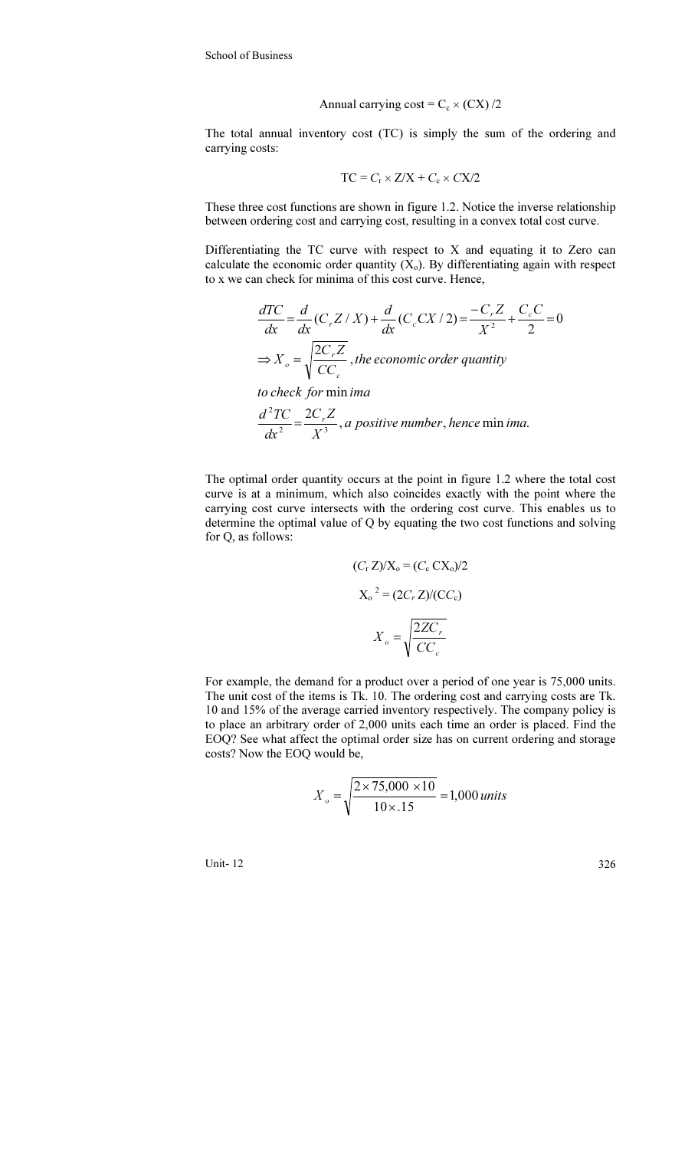Annual carrying cost = 
$$
C_c \times (CX)/2
$$

The total annual inventory cost (TC) is simply the sum of the ordering and carrying costs:

$$
TC = C_r \times Z/X + C_c \times CX/2
$$

These three cost functions are shown in figure 1.2. Notice the inverse relationship between ordering cost and carrying cost, resulting in a convex total cost curve.

Differentiating the TC curve with respect to X and equating it to Zero can calculate the economic order quantity  $(X_0)$ . By differentiating again with respect to x we can check for minima of this cost curve. Hence,

$$
\frac{dTC}{dx} = \frac{d}{dx}(C_r Z / X) + \frac{d}{dx}(C_c CX / 2) = \frac{-C_r Z}{X^2} + \frac{C_c C}{2} = 0
$$
  
\n
$$
\Rightarrow X_o = \sqrt{\frac{2C_r Z}{CC_c}}, the economic order quantity
$$
  
\nto check for minima

to check for min*ima* 

$$
\frac{d^2TC}{dx^2} = \frac{2C_rZ}{X^3}
$$
, a positive number, hence min ima.

The optimal order quantity occurs at the point in figure 1.2 where the total cost curve is at a minimum, which also coincides exactly with the point where the carrying cost curve intersects with the ordering cost curve. This enables us to determine the optimal value of Q by equating the two cost functions and solving for Q, as follows:

$$
(Cr Z)/Xo = (Cc CXo)/2
$$

$$
Xo2 = (2Cr Z)/(CCc)
$$

$$
Xo = \sqrt{\frac{2ZCr}{CCc}}
$$

For example, the demand for a product over a period of one year is 75,000 units. The unit cost of the items is Tk. 10. The ordering cost and carrying costs are Tk. 10 and 15% of the average carried inventory respectively. The company policy is to place an arbitrary order of 2,000 units each time an order is placed. Find the EOQ? See what affect the optimal order size has on current ordering and storage costs? Now the EOQ would be,

$$
X_o = \sqrt{\frac{2 \times 75,000 \times 10}{10 \times .15}} = 1,000 \text{ units}
$$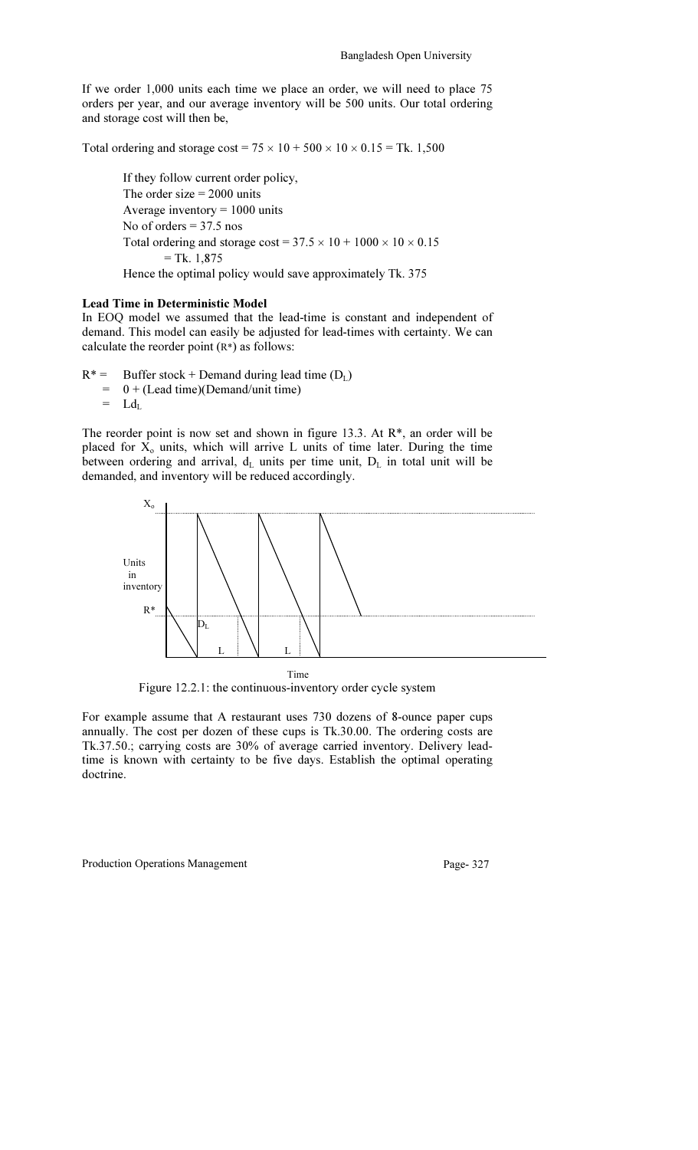If we order 1,000 units each time we place an order, we will need to place 75 orders per year, and our average inventory will be 500 units. Our total ordering and storage cost will then be,

Total ordering and storage  $\cos t = 75 \times 10 + 500 \times 10 \times 0.15 = \text{Tk. } 1,500$ 

If they follow current order policy, The order size  $= 2000$  units Average inventory  $= 1000$  units No of orders  $= 37.5$  nos Total ordering and storage cost =  $37.5 \times 10 + 1000 \times 10 \times 0.15$  $=$  Tk. 1,875 Hence the optimal policy would save approximately Tk. 375

### Lead Time in Deterministic Model

In EOQ model we assumed that the lead-time is constant and independent of demand. This model can easily be adjusted for lead-times with certainty. We can calculate the reorder point (R\*) as follows:

 $R^*$  = Buffer stock + Demand during lead time  $(D_L)$ 

- $= 0 + ($ Lead time)(Demand/unit time)<br>=  $I_d$
- $Ld_L$

The reorder point is now set and shown in figure 13.3. At R\*, an order will be placed for  $X_0$  units, which will arrive L units of time later. During the time between ordering and arrival,  $d_L$  units per time unit,  $D_L$  in total unit will be demanded, and inventory will be reduced accordingly.



Figure 12.2.1: the continuous-inventory order cycle system

For example assume that A restaurant uses 730 dozens of 8-ounce paper cups annually. The cost per dozen of these cups is Tk.30.00. The ordering costs are Tk.37.50.; carrying costs are 30% of average carried inventory. Delivery leadtime is known with certainty to be five days. Establish the optimal operating doctrine.

Production Operations Management Page- 327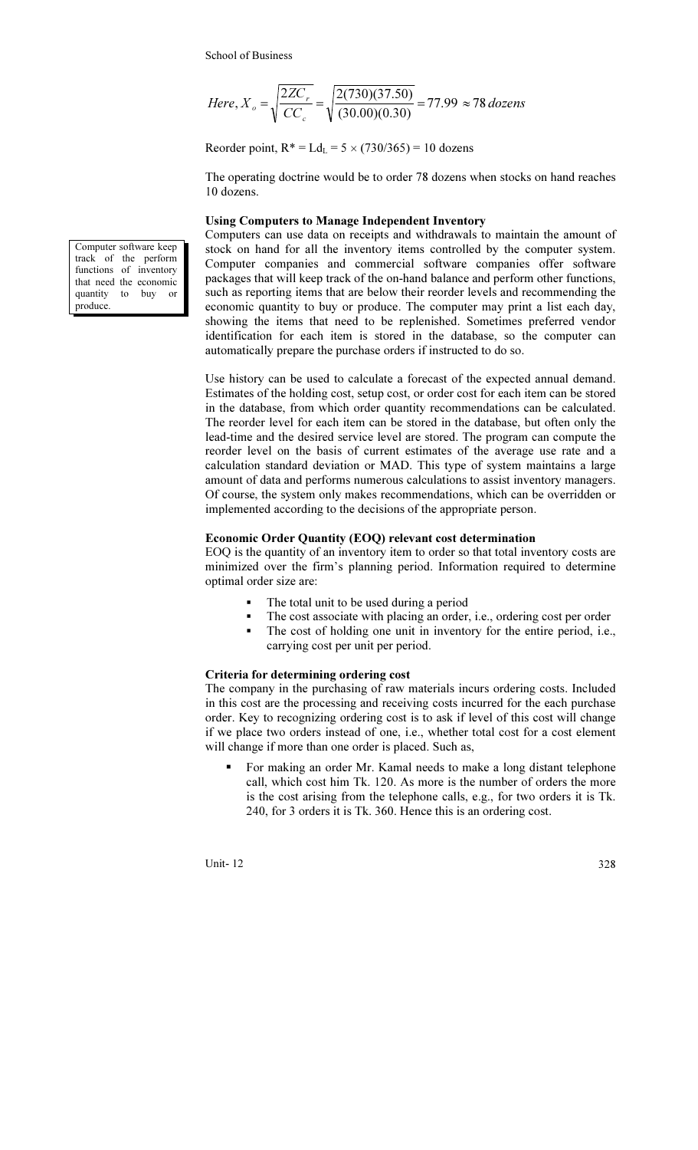Here, 
$$
X_o = \sqrt{\frac{2ZC_r}{CC_c}} = \sqrt{\frac{2(730)(37.50)}{(30.00)(0.30)}} = 77.99 \approx 78 \text{ dozens}
$$

Reorder point,  $R^* = Ld_L = 5 \times (730/365) = 10$  dozens

The operating doctrine would be to order 78 dozens when stocks on hand reaches 10 dozens.

### Using Computers to Manage Independent Inventory

Computers can use data on receipts and withdrawals to maintain the amount of stock on hand for all the inventory items controlled by the computer system. Computer companies and commercial software companies offer software packages that will keep track of the on-hand balance and perform other functions, such as reporting items that are below their reorder levels and recommending the economic quantity to buy or produce. The computer may print a list each day, showing the items that need to be replenished. Sometimes preferred vendor identification for each item is stored in the database, so the computer can automatically prepare the purchase orders if instructed to do so.

Use history can be used to calculate a forecast of the expected annual demand. Estimates of the holding cost, setup cost, or order cost for each item can be stored in the database, from which order quantity recommendations can be calculated. The reorder level for each item can be stored in the database, but often only the lead-time and the desired service level are stored. The program can compute the reorder level on the basis of current estimates of the average use rate and a calculation standard deviation or MAD. This type of system maintains a large amount of data and performs numerous calculations to assist inventory managers. Of course, the system only makes recommendations, which can be overridden or implemented according to the decisions of the appropriate person.

## Economic Order Quantity (EOQ) relevant cost determination

EOQ is the quantity of an inventory item to order so that total inventory costs are minimized over the firm's planning period. Information required to determine optimal order size are:

- The total unit to be used during a period
- The cost associate with placing an order, i.e., ordering cost per order<br>The cost of holding one unit in inventory for the entire period i.e.
- The cost of holding one unit in inventory for the entire period, i.e., carrying cost per unit per period.

### Criteria for determining ordering cost

The company in the purchasing of raw materials incurs ordering costs. Included in this cost are the processing and receiving costs incurred for the each purchase order. Key to recognizing ordering cost is to ask if level of this cost will change if we place two orders instead of one, i.e., whether total cost for a cost element will change if more than one order is placed. Such as,

 For making an order Mr. Kamal needs to make a long distant telephone call, which cost him Tk. 120. As more is the number of orders the more is the cost arising from the telephone calls, e.g., for two orders it is Tk. 240, for 3 orders it is Tk. 360. Hence this is an ordering cost.

Unit-  $12 \,$  328

Computer software keep track of the perform functions of inventory that need the economic quantity to buy or produce.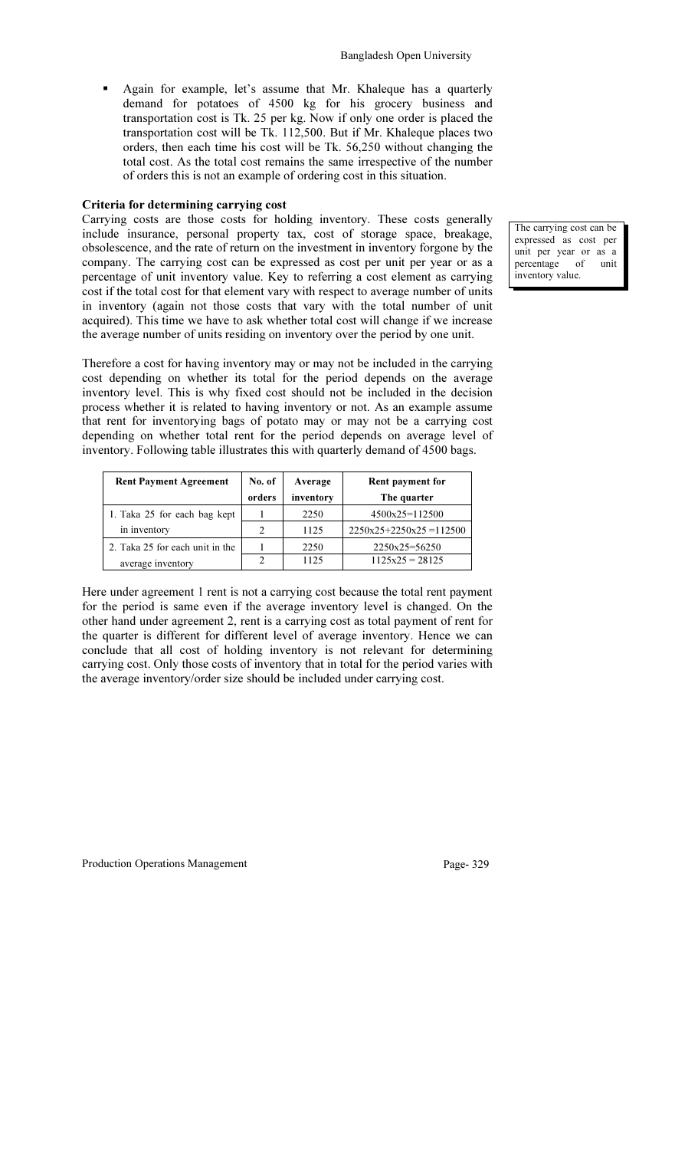Again for example, let's assume that Mr. Khaleque has a quarterly demand for potatoes of 4500 kg for his grocery business and transportation cost is Tk. 25 per kg. Now if only one order is placed the transportation cost will be Tk. 112,500. But if Mr. Khaleque places two orders, then each time his cost will be Tk. 56,250 without changing the total cost. As the total cost remains the same irrespective of the number of orders this is not an example of ordering cost in this situation.

### Criteria for determining carrying cost

Carrying costs are those costs for holding inventory. These costs generally include insurance, personal property tax, cost of storage space, breakage, obsolescence, and the rate of return on the investment in inventory forgone by the company. The carrying cost can be expressed as cost per unit per year or as a percentage of unit inventory value. Key to referring a cost element as carrying cost if the total cost for that element vary with respect to average number of units in inventory (again not those costs that vary with the total number of unit acquired). This time we have to ask whether total cost will change if we increase the average number of units residing on inventory over the period by one unit.

Therefore a cost for having inventory may or may not be included in the carrying cost depending on whether its total for the period depends on the average inventory level. This is why fixed cost should not be included in the decision process whether it is related to having inventory or not. As an example assume that rent for inventorying bags of potato may or may not be a carrying cost depending on whether total rent for the period depends on average level of inventory. Following table illustrates this with quarterly demand of 4500 bags.

| <b>Rent Payment Agreement</b>   | No. of | Average   | Rent payment for         |
|---------------------------------|--------|-----------|--------------------------|
|                                 | orders | inventory | The quarter              |
| 1. Taka 25 for each bag kept    |        | 2250      | $4500x25=112500$         |
| in inventory                    |        | 1125      | $2250x25+2250x25=112500$ |
| 2. Taka 25 for each unit in the |        | 2250      | $2250x25=56250$          |
| average inventory               |        | 1125      | $1125x25 = 28125$        |

Here under agreement 1 rent is not a carrying cost because the total rent payment for the period is same even if the average inventory level is changed. On the other hand under agreement 2, rent is a carrying cost as total payment of rent for the quarter is different for different level of average inventory. Hence we can conclude that all cost of holding inventory is not relevant for determining carrying cost. Only those costs of inventory that in total for the period varies with the average inventory/order size should be included under carrying cost.

The carrying cost can be expressed as cost per unit per year or as a<br>percentage of unit percentage of unit inventory value.

Production Operations Management Page- 329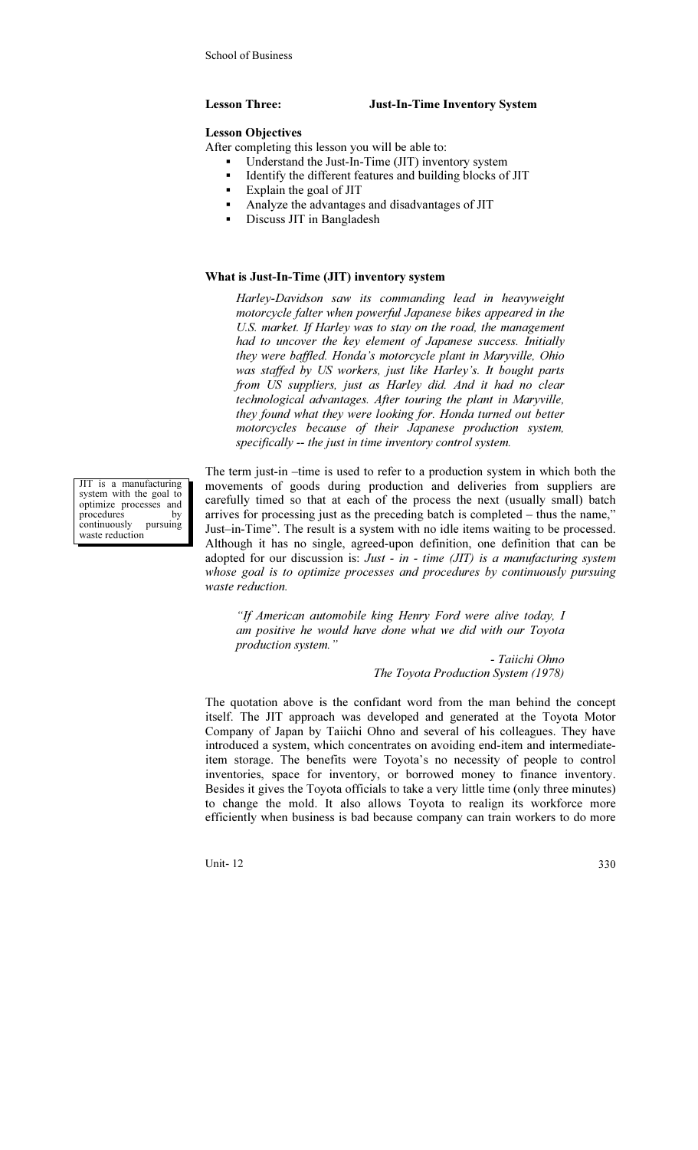### Lesson Three: Just-In-Time Inventory System

### Lesson Objectives

After completing this lesson you will be able to:

- Understand the Just-In-Time (JIT) inventory system
- Identify the different features and building blocks of JIT
- **Explain the goal of JIT**
- Analyze the advantages and disadvantages of JIT
- Discuss JIT in Bangladesh

### What is Just-In-Time (JIT) inventory system

Harley-Davidson saw its commanding lead in heavyweight motorcycle falter when powerful Japanese bikes appeared in the U.S. market. If Harley was to stay on the road, the management had to uncover the key element of Japanese success. Initially they were baffled. Honda's motorcycle plant in Maryville, Ohio was staffed by US workers, just like Harley's. It bought parts from US suppliers, just as Harley did. And it had no clear technological advantages. After touring the plant in Maryville, they found what they were looking for. Honda turned out better motorcycles because of their Japanese production system, specifically -- the just in time inventory control system.

The term just-in –time is used to refer to a production system in which both the movements of goods during production and deliveries from suppliers are carefully timed so that at each of the process the next (usually small) batch arrives for processing just as the preceding batch is completed – thus the name," Just–in-Time". The result is a system with no idle items waiting to be processed. Although it has no single, agreed-upon definition, one definition that can be adopted for our discussion is: Just - in - time  $(JIT)$  is a manufacturing system whose goal is to optimize processes and procedures by continuously pursuing waste reduction.

"If American automobile king Henry Ford were alive today, I am positive he would have done what we did with our Toyota production system."

> - Taiichi Ohno The Toyota Production System (1978)

The quotation above is the confidant word from the man behind the concept itself. The JIT approach was developed and generated at the Toyota Motor Company of Japan by Taiichi Ohno and several of his colleagues. They have introduced a system, which concentrates on avoiding end-item and intermediateitem storage. The benefits were Toyota's no necessity of people to control inventories, space for inventory, or borrowed money to finance inventory. Besides it gives the Toyota officials to take a very little time (only three minutes) to change the mold. It also allows Toyota to realign its workforce more efficiently when business is bad because company can train workers to do more

Unit-  $12\,$  330

JIT is a manufacturing system with the goal to optimize processes and procedures by<br>continuously pursuing continuously waste reduction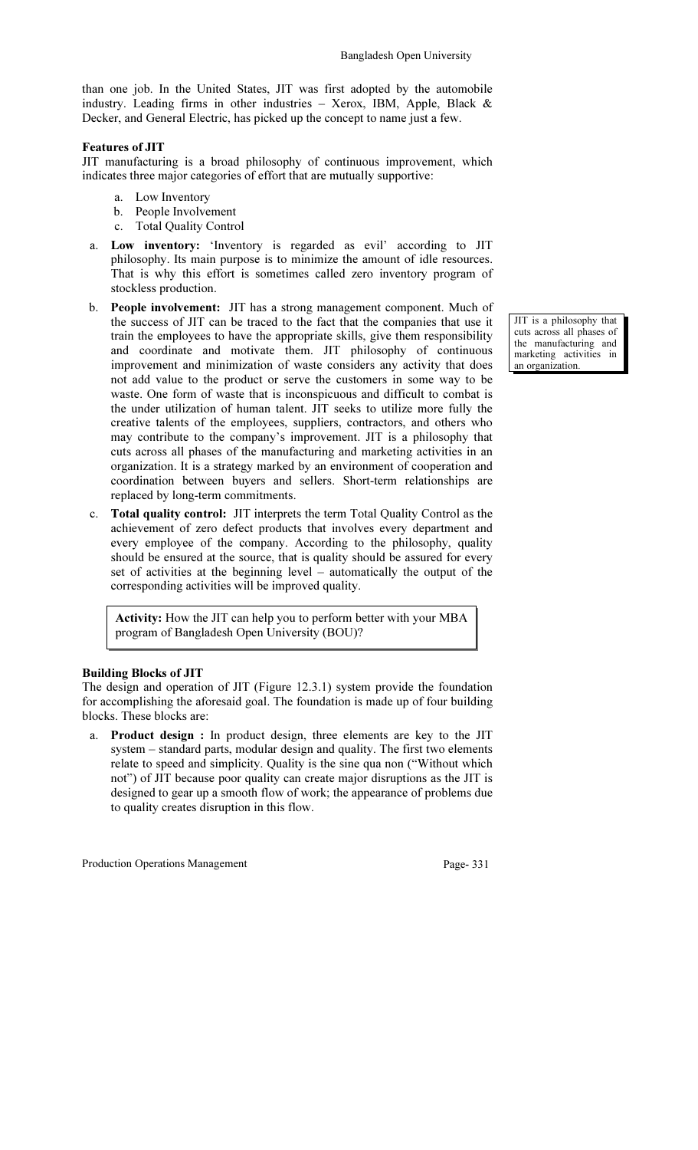than one job. In the United States, JIT was first adopted by the automobile industry. Leading firms in other industries – Xerox, IBM, Apple, Black & Decker, and General Electric, has picked up the concept to name just a few.

### Features of JIT

JIT manufacturing is a broad philosophy of continuous improvement, which indicates three major categories of effort that are mutually supportive:

- a. Low Inventory
- b. People Involvement
- c. Total Quality Control
- a. Low inventory: 'Inventory is regarded as evil' according to JIT philosophy. Its main purpose is to minimize the amount of idle resources. That is why this effort is sometimes called zero inventory program of stockless production.
- b. People involvement: JIT has a strong management component. Much of the success of JIT can be traced to the fact that the companies that use it train the employees to have the appropriate skills, give them responsibility and coordinate and motivate them. JIT philosophy of continuous improvement and minimization of waste considers any activity that does not add value to the product or serve the customers in some way to be waste. One form of waste that is inconspicuous and difficult to combat is the under utilization of human talent. JIT seeks to utilize more fully the creative talents of the employees, suppliers, contractors, and others who may contribute to the company's improvement. JIT is a philosophy that cuts across all phases of the manufacturing and marketing activities in an organization. It is a strategy marked by an environment of cooperation and coordination between buyers and sellers. Short-term relationships are replaced by long-term commitments.
- c. Total quality control: JIT interprets the term Total Quality Control as the achievement of zero defect products that involves every department and every employee of the company. According to the philosophy, quality should be ensured at the source, that is quality should be assured for every set of activities at the beginning level – automatically the output of the corresponding activities will be improved quality.

Activity: How the JIT can help you to perform better with your MBA program of Bangladesh Open University (BOU)?

## Building Blocks of JIT

The design and operation of JIT (Figure 12.3.1) system provide the foundation for accomplishing the aforesaid goal. The foundation is made up of four building blocks. These blocks are:

a. Product design : In product design, three elements are key to the JIT system – standard parts, modular design and quality. The first two elements relate to speed and simplicity. Quality is the sine qua non ("Without which not") of JIT because poor quality can create major disruptions as the JIT is designed to gear up a smooth flow of work; the appearance of problems due to quality creates disruption in this flow.

Production Operations Management Page- 331

JIT is a philosophy that cuts across all phases of the manufacturing and marketing activities in an organization.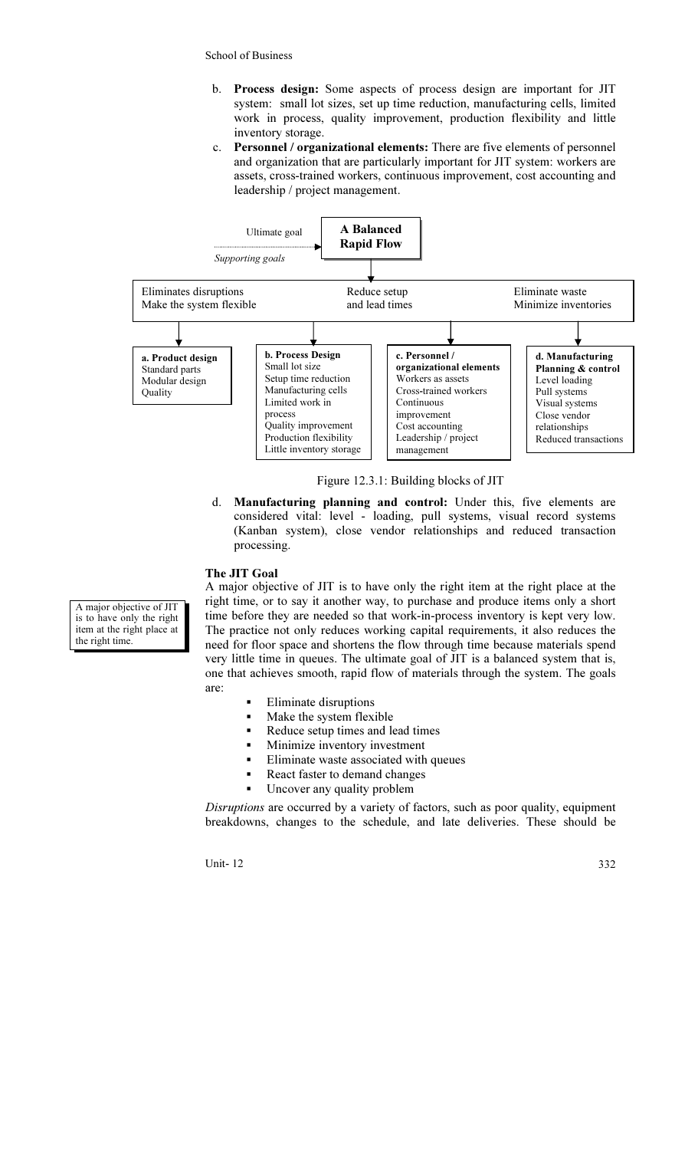- b. Process design: Some aspects of process design are important for JIT system: small lot sizes, set up time reduction, manufacturing cells, limited work in process, quality improvement, production flexibility and little inventory storage.
- c. Personnel / organizational elements: There are five elements of personnel and organization that are particularly important for JIT system: workers are assets, cross-trained workers, continuous improvement, cost accounting and leadership / project management.



Figure 12.3.1: Building blocks of JIT

d. Manufacturing planning and control: Under this, five elements are considered vital: level - loading, pull systems, visual record systems (Kanban system), close vendor relationships and reduced transaction processing.

### The JIT Goal

A major objective of JIT is to have only the right item at the right place at the right time, or to say it another way, to purchase and produce items only a short time before they are needed so that work-in-process inventory is kept very low. The practice not only reduces working capital requirements, it also reduces the need for floor space and shortens the flow through time because materials spend very little time in queues. The ultimate goal of JIT is a balanced system that is, one that achieves smooth, rapid flow of materials through the system. The goals are:

- Eliminate disruptions
- Make the system flexible
- Reduce setup times and lead times
- Minimize inventory investment
- Eliminate waste associated with queues
- React faster to demand changes
- Uncover any quality problem

Disruptions are occurred by a variety of factors, such as poor quality, equipment breakdowns, changes to the schedule, and late deliveries. These should be

Unit- 12 332

A major objective of JIT is to have only the right item at the right place at the right time.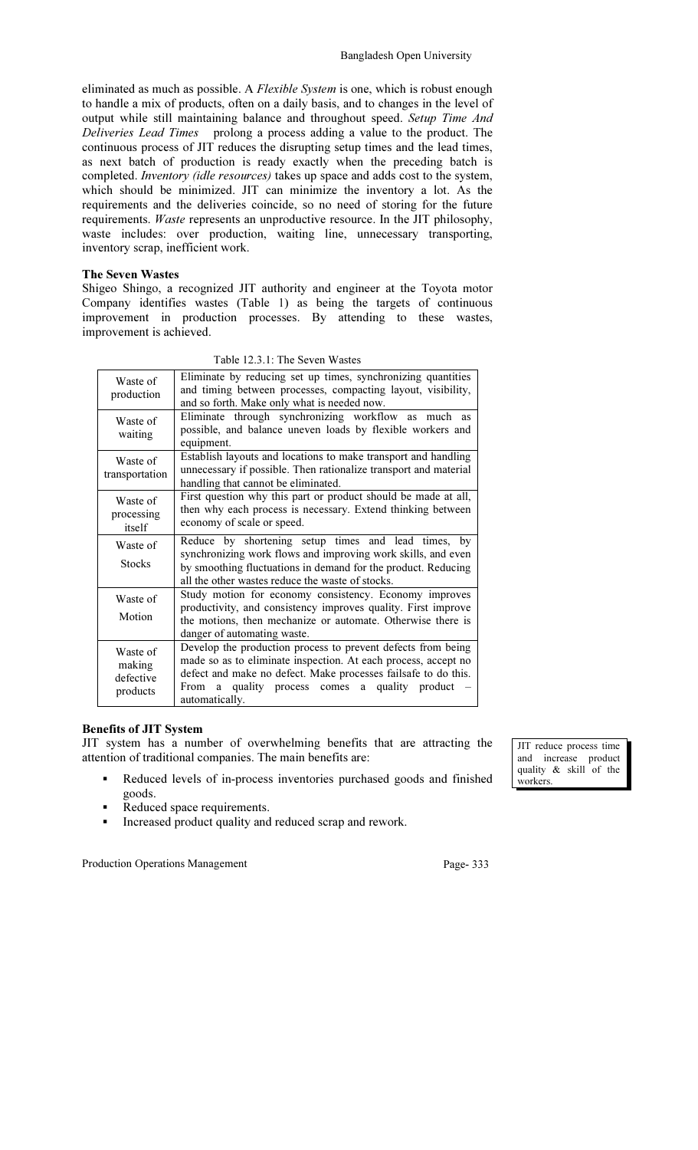eliminated as much as possible. A Flexible System is one, which is robust enough to handle a mix of products, often on a daily basis, and to changes in the level of output while still maintaining balance and throughout speed. Setup Time And Deliveries Lead Times prolong a process adding a value to the product. The continuous process of JIT reduces the disrupting setup times and the lead times, as next batch of production is ready exactly when the preceding batch is completed. Inventory (idle resources) takes up space and adds cost to the system, which should be minimized. JIT can minimize the inventory a lot. As the requirements and the deliveries coincide, so no need of storing for the future requirements. Waste represents an unproductive resource. In the JIT philosophy, waste includes: over production, waiting line, unnecessary transporting, inventory scrap, inefficient work.

### The Seven Wastes

Shigeo Shingo, a recognized JIT authority and engineer at the Toyota motor Company identifies wastes (Table 1) as being the targets of continuous improvement in production processes. By attending to these wastes, improvement is achieved.

| Waste of<br>production                      | Eliminate by reducing set up times, synchronizing quantities<br>and timing between processes, compacting layout, visibility,<br>and so forth. Make only what is needed now.                                                                                                                    |  |  |
|---------------------------------------------|------------------------------------------------------------------------------------------------------------------------------------------------------------------------------------------------------------------------------------------------------------------------------------------------|--|--|
| Waste of<br>waiting                         | Eliminate through synchronizing workflow as much as<br>possible, and balance uneven loads by flexible workers and<br>equipment.                                                                                                                                                                |  |  |
| Waste of<br>transportation                  | Establish layouts and locations to make transport and handling<br>unnecessary if possible. Then rationalize transport and material<br>handling that cannot be eliminated.                                                                                                                      |  |  |
| Waste of<br>processing<br>itself            | First question why this part or product should be made at all,<br>then why each process is necessary. Extend thinking between<br>economy of scale or speed.                                                                                                                                    |  |  |
| Waste of<br><b>Stocks</b>                   | Reduce by shortening setup times and lead times, by<br>synchronizing work flows and improving work skills, and even<br>by smoothing fluctuations in demand for the product. Reducing<br>all the other wastes reduce the waste of stocks.                                                       |  |  |
| Waste of<br>Motion                          | Study motion for economy consistency. Economy improves<br>productivity, and consistency improves quality. First improve<br>the motions, then mechanize or automate. Otherwise there is<br>danger of automating waste.                                                                          |  |  |
| Waste of<br>making<br>defective<br>products | Develop the production process to prevent defects from being<br>made so as to eliminate inspection. At each process, accept no<br>defect and make no defect. Make processes failsafe to do this.<br>quality process comes a quality product –<br><b>From</b><br><sub>a</sub><br>automatically. |  |  |

Table 12.3.1: The Seven Wastes

### Benefits of JIT System

JIT system has a number of overwhelming benefits that are attracting the attention of traditional companies. The main benefits are:

- Reduced levels of in-process inventories purchased goods and finished goods.
- Reduced space requirements.
- Increased product quality and reduced scrap and rework.

Production Operations Management Page- 333

JIT reduce process time and increase product quality & skill of the

workers.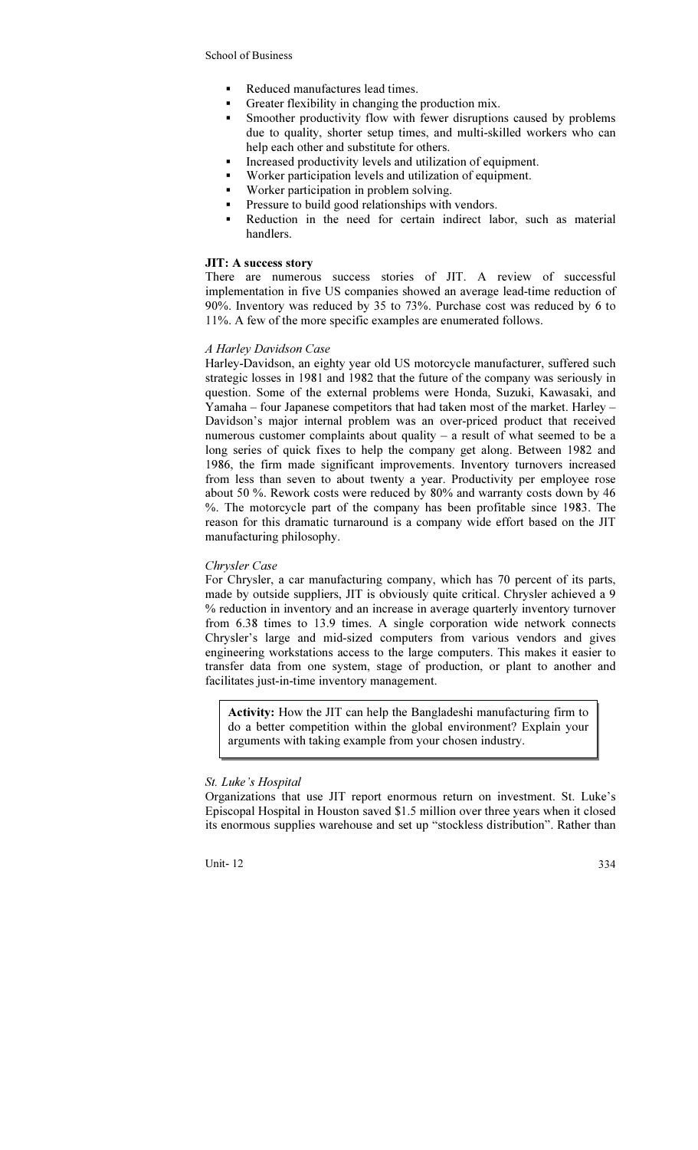- Reduced manufactures lead times.
- Greater flexibility in changing the production mix.
- Smoother productivity flow with fewer disruptions caused by problems due to quality, shorter setup times, and multi-skilled workers who can help each other and substitute for others.
- Increased productivity levels and utilization of equipment.
- Worker participation levels and utilization of equipment.
- Worker participation in problem solving.
- Pressure to build good relationships with vendors.
- Reduction in the need for certain indirect labor, such as material handlers.

### JIT: A success story

There are numerous success stories of JIT. A review of successful implementation in five US companies showed an average lead-time reduction of 90%. Inventory was reduced by 35 to 73%. Purchase cost was reduced by 6 to 11%. A few of the more specific examples are enumerated follows.

## A Harley Davidson Case

Harley-Davidson, an eighty year old US motorcycle manufacturer, suffered such strategic losses in 1981 and 1982 that the future of the company was seriously in question. Some of the external problems were Honda, Suzuki, Kawasaki, and Yamaha – four Japanese competitors that had taken most of the market. Harley – Davidson's major internal problem was an over-priced product that received numerous customer complaints about quality – a result of what seemed to be a long series of quick fixes to help the company get along. Between 1982 and 1986, the firm made significant improvements. Inventory turnovers increased from less than seven to about twenty a year. Productivity per employee rose about 50 %. Rework costs were reduced by 80% and warranty costs down by 46 %. The motorcycle part of the company has been profitable since 1983. The reason for this dramatic turnaround is a company wide effort based on the JIT manufacturing philosophy.

### Chrysler Case

For Chrysler, a car manufacturing company, which has 70 percent of its parts, made by outside suppliers, JIT is obviously quite critical. Chrysler achieved a 9 % reduction in inventory and an increase in average quarterly inventory turnover from 6.38 times to 13.9 times. A single corporation wide network connects Chrysler's large and mid-sized computers from various vendors and gives engineering workstations access to the large computers. This makes it easier to transfer data from one system, stage of production, or plant to another and facilitates just-in-time inventory management.

Activity: How the JIT can help the Bangladeshi manufacturing firm to do a better competition within the global environment? Explain your arguments with taking example from your chosen industry.

## St. Luke's Hospital

Organizations that use JIT report enormous return on investment. St. Luke's Episcopal Hospital in Houston saved \$1.5 million over three years when it closed its enormous supplies warehouse and set up "stockless distribution". Rather than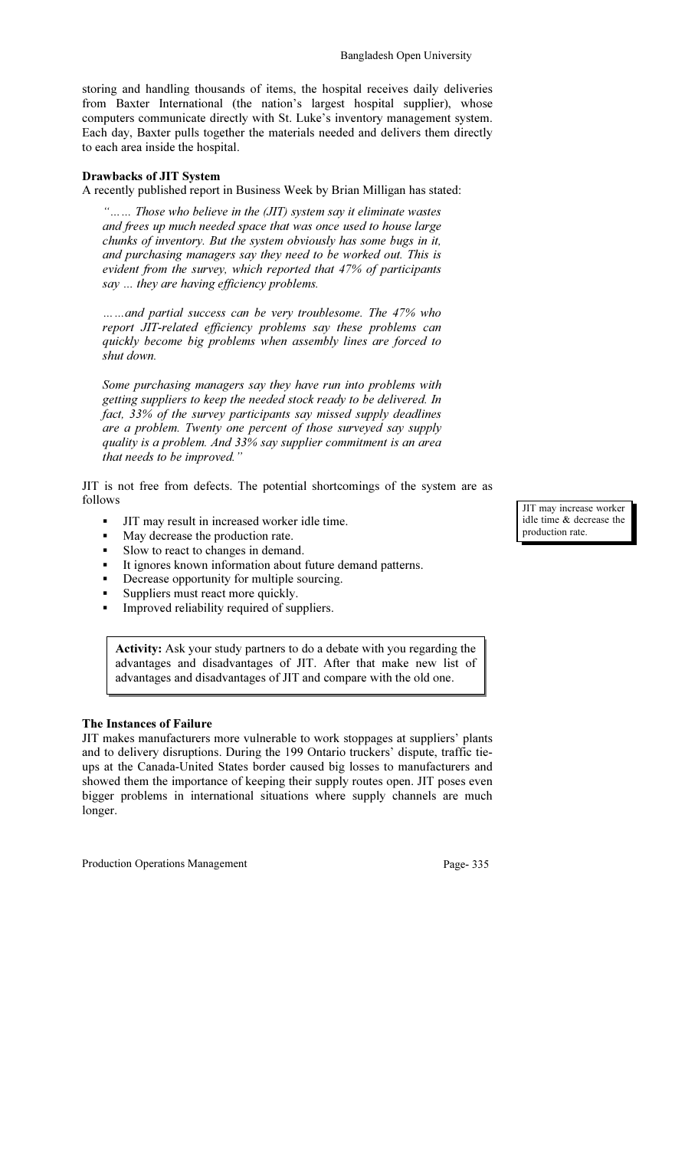storing and handling thousands of items, the hospital receives daily deliveries from Baxter International (the nation's largest hospital supplier), whose computers communicate directly with St. Luke's inventory management system. Each day, Baxter pulls together the materials needed and delivers them directly to each area inside the hospital.

### Drawbacks of JIT System

A recently published report in Business Week by Brian Milligan has stated:

"…… Those who believe in the (JIT) system say it eliminate wastes and frees up much needed space that was once used to house large chunks of inventory. But the system obviously has some bugs in it, and purchasing managers say they need to be worked out. This is evident from the survey, which reported that 47% of participants say ... they are having efficiency problems.

……and partial success can be very troublesome. The 47% who report JIT-related efficiency problems say these problems can quickly become big problems when assembly lines are forced to shut down.

Some purchasing managers say they have run into problems with getting suppliers to keep the needed stock ready to be delivered. In fact, 33% of the survey participants say missed supply deadlines are a problem. Twenty one percent of those surveyed say supply quality is a problem. And 33% say supplier commitment is an area that needs to be improved."

JIT is not free from defects. The potential shortcomings of the system are as follows

- JIT may result in increased worker idle time.
- May decrease the production rate.
- Slow to react to changes in demand.
- It ignores known information about future demand patterns.
- Decrease opportunity for multiple sourcing.
- Suppliers must react more quickly.
- Improved reliability required of suppliers.

Activity: Ask your study partners to do a debate with you regarding the advantages and disadvantages of JIT. After that make new list of advantages and disadvantages of JIT and compare with the old one.

### The Instances of Failure

JIT makes manufacturers more vulnerable to work stoppages at suppliers' plants and to delivery disruptions. During the 199 Ontario truckers' dispute, traffic tieups at the Canada-United States border caused big losses to manufacturers and showed them the importance of keeping their supply routes open. JIT poses even bigger problems in international situations where supply channels are much longer.

Production Operations Management Page- 335

JIT may increase worker idle time & decrease the production rate.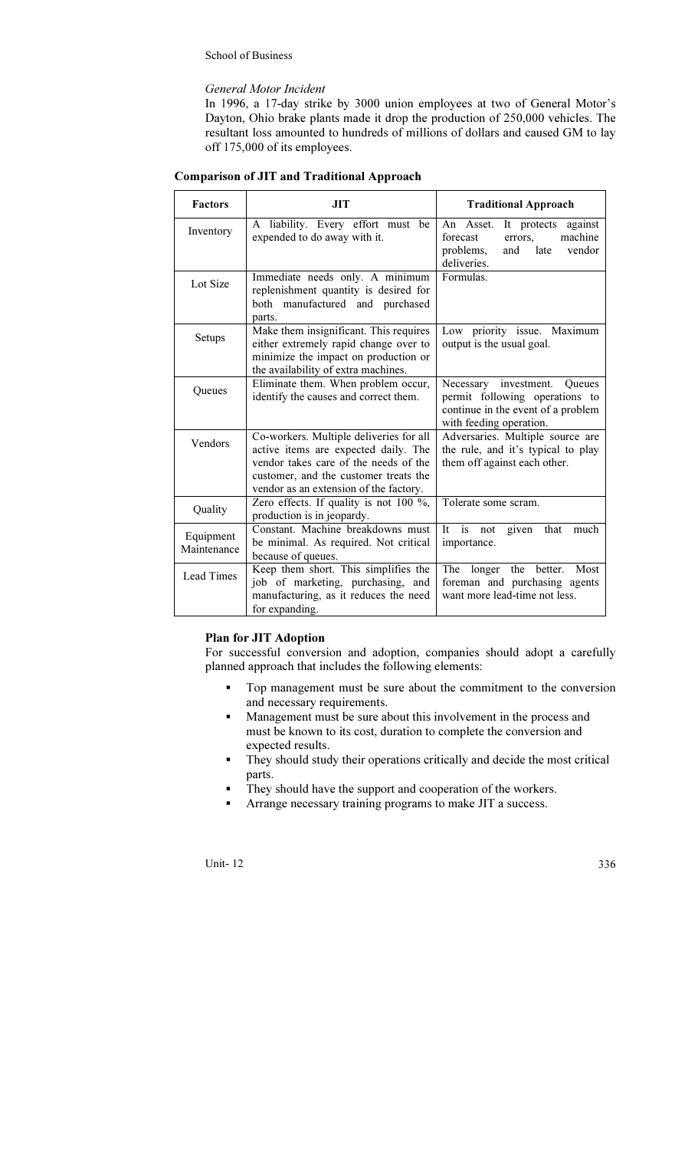### General Motor Incident

In 1996, a 17-day strike by 3000 union employees at two of General Motor's Dayton, Ohio brake plants made it drop the production of 250,000 vehicles. The resultant loss amounted to hundreds of millions of dollars and caused GM to lay off 175,000 of its employees.

|  | <b>Comparison of JIT and Traditional Approach</b> |
|--|---------------------------------------------------|
|--|---------------------------------------------------|

| <b>Factors</b>           | JIT                                                                                                                                                                                                         | <b>Traditional Approach</b>                                                                                                        |  |
|--------------------------|-------------------------------------------------------------------------------------------------------------------------------------------------------------------------------------------------------------|------------------------------------------------------------------------------------------------------------------------------------|--|
| Inventory                | A liability. Every effort must be<br>expended to do away with it.                                                                                                                                           | An Asset.<br>against<br>It protects<br>machine<br>forecast<br>errors.<br>problems,<br>vendor<br>and<br>late<br>deliveries.         |  |
| Lot Size                 | Immediate needs only. A minimum<br>replenishment quantity is desired for<br>both manufactured and purchased<br>parts.                                                                                       | Formulas.                                                                                                                          |  |
| Setups                   | Make them insignificant. This requires<br>either extremely rapid change over to<br>minimize the impact on production or<br>the availability of extra machines.                                              | Low priority issue. Maximum<br>output is the usual goal.                                                                           |  |
| Queues                   | Eliminate them. When problem occur,<br>identify the causes and correct them.                                                                                                                                | Necessary investment.<br>Queues<br>permit following operations to<br>continue in the event of a problem<br>with feeding operation. |  |
| Vendors                  | Co-workers. Multiple deliveries for all<br>active items are expected daily. The<br>vendor takes care of the needs of the<br>customer, and the customer treats the<br>vendor as an extension of the factory. | Adversaries. Multiple source are<br>the rule, and it's typical to play<br>them off against each other.                             |  |
| Quality                  | Zero effects. If quality is not 100 $\%$ ,<br>production is in jeopardy.                                                                                                                                    | Tolerate some scram.                                                                                                               |  |
| Equipment<br>Maintenance | Constant. Machine breakdowns must<br>be minimal. As required. Not critical<br>because of queues.                                                                                                            | is<br>It<br>not<br>given that<br>much<br>importance.                                                                               |  |
| <b>Lead Times</b>        | Keep them short. This simplifies the<br>job of marketing, purchasing, and<br>manufacturing, as it reduces the need<br>for expanding.                                                                        | The longer<br>the better.<br>Most<br>foreman and purchasing agents<br>want more lead-time not less.                                |  |

## Plan for JIT Adoption

For successful conversion and adoption, companies should adopt a carefully planned approach that includes the following elements:

- Top management must be sure about the commitment to the conversion and necessary requirements.
- Management must be sure about this involvement in the process and must be known to its cost, duration to complete the conversion and expected results.
- They should study their operations critically and decide the most critical parts.
- They should have the support and cooperation of the workers.
- Arrange necessary training programs to make JIT a success.